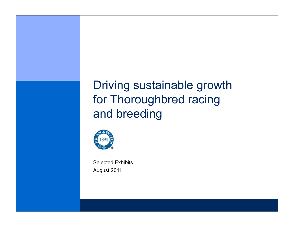# Driving sustainable growth for Thoroughbred racing and breeding



August 2011 Selected Exhibits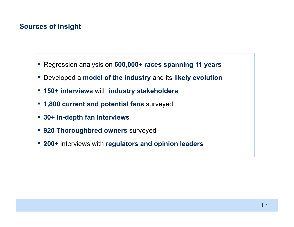# **Sources of Insight**

- Regression analysis on **600,000+ races spanning 11 years**
- Developed a **model of the industry** and its **likely evolution**
- **150+ interviews** with **industry stakeholders**
- **1,800 current and potential fans** surveyed
- **30+ in-depth fan interviews**
- **920 Thoroughbred owners** surveyed
- **200+** interviews with **regulators and opinion leaders**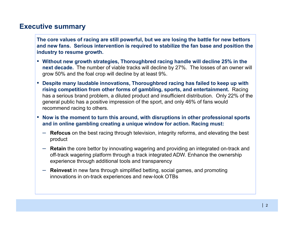### **Executive summary**

**The core values of racing are still powerful, but we are losing the battle for new bettors and new fans. Serious intervention is required to stabilize the fan base and position the industry to resume growth.**

- **Without new growth strategies, Thoroughbred racing handle will decline 25% in the next decade.** The number of viable tracks will decline by 27%. The losses of an owner will grow 50% and the foal crop will decline by at least 9%.
- **Despite many laudable innovations, Thoroughbred racing has failed to keep up with rising competition from other forms of gambling, sports, and entertainment.** Racing has a serious brand problem, a diluted product and insufficient distribution. Only 22% of the general public has a positive impression of the sport, and only 46% of fans would recommend racing to others.
- **Now is the moment to turn this around, with disruptions in other professional sports and in online gambling creating a unique window for action. Racing must:**
	- **Refocus** on the best racing through television, integrity reforms, and elevating the best product
	- **Retain** the core bettor by innovating wagering and providing an integrated on-track and off-track wagering platform through a track integrated ADW. Enhance the ownership experience through additional tools and transparency
	- **Reinvest** in new fans through simplified betting, social games, and promoting innovations in on-track experiences and new-look OTBs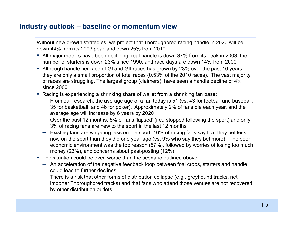# **Industry outlook – baseline or momentum view**

Without new growth strategies, we project that Thoroughbred racing handle in 2020 will be down 44% from its 2003 peak and down 25% from 2010

- All major metrics have been declining: real handle is down 37% from its peak in 2003; the number of starters is down 23% since 1990, and race days are down 14% from 2000
- Although handle per race of GI and GII races has grown by 23% over the past 10 years, they are only a small proportion of total races (0.53% of the 2010 races). The vast majority of races are struggling. The largest group (claimers), have seen a handle decline of 4% since 2000
- Racing is experiencing a shrinking share of wallet from a shrinking fan base:
	- From our research, the average age of a fan today is 51 (vs. 43 for football and baseball, 35 for basketball, and 46 for poker). Approximately 2% of fans die each year, and the average age will increase by 6 years by 2020
	- Over the past 12 months, 5% of fans 'lapsed' (i.e., stopped following the sport) and only 3% of racing fans are new to the sport in the last 12 months
	- Existing fans are wagering less on the sport: 16% of racing fans say that they bet less now on the sport than they did one year ago (vs. 9% who say they bet more). The poor economic environment was the top reason (57%), followed by worries of losing too much money (23%), and concerns about past-posting (12%)
- $\textcolor{red}{\bullet}$  The situation could be even worse than the scenario outlined above:
	- An acceleration of the negative feedback loop between foal crops, starters and handle could lead to further declines
	- There is a risk that other forms of distribution collapse (e.g., greyhound tracks, net importer Thoroughbred tracks) and that fans who attend those venues are not recovered by other distribution outlets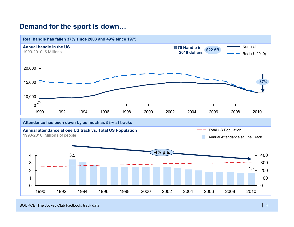# **Demand for the sport is down…**



#### SOURCE: The Jockey Club Factbook, track data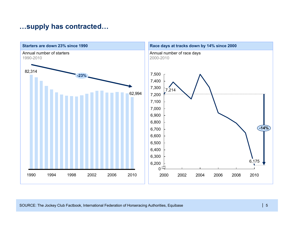# **…supply has contracted…**

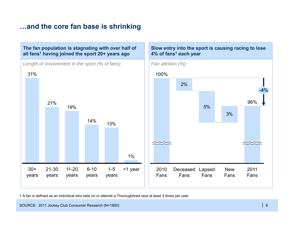# **…and the core fan base is shrinking**



1 A fan is defined as an individual who bets on or attends a Thoroughbred race at least 3 times per year

SOURCE: 2011 Jockey Club Consumer Research (N=1800)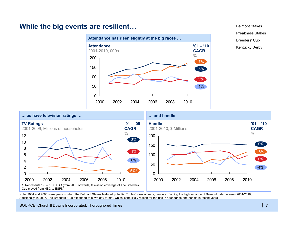### **While the big events are resilient…**





Note: 2004 and 2008 were years in which the Belmont Stakes featured potential Triple Crown winners, hence explaining the high variance of Belmont data between 2001-2010; Additionally, in 2007, The Breeders' Cup expanded to a two-day format, which is the likely reason for the rise in attendance and handle in recent years

SOURCE: Churchill Downs Incorporated, Thoroughbred Times

Belmont Stakes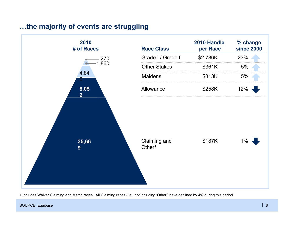# **…the majority of events are struggling**



1 Includes Waiver Claiming and Match races. All Claiming races (i.e., not including 'Other') have declined by 4% during this period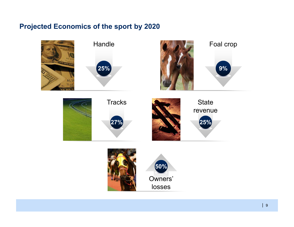# **Projected Economics of the sport by 2020**

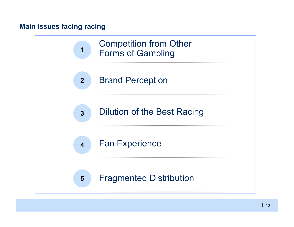# **Main issues facing racing**

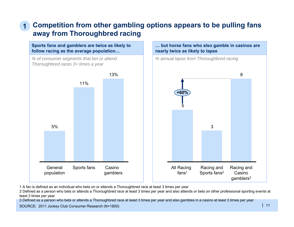### **Competition from other gambling options appears to be pulling fans away from Thoroughbred racing 1**

**Sports fans and gamblers are twice as likely to follow racing as the average population…**

*% of consumer segments that bet or attend Thoroughbred races 3+ times a year*



**… but horse fans who also gamble in casinos are nearly twice as likely to lapse**



1 A fan is defined as an individual who bets on or attends a Thoroughbred race at least 3 times per year

2 Defined as a person who bets or attends a Thoroughbred race at least 3 times per year and also attends or bets on other professional sporting events at least 3 times per year

3 Defined as a person who bets or attends a Thoroughbred race at least 3 times per year and also gambles in a casino at least 3 times per year

SOURCE: 2011 Jockey Club Consumer Research (N=1800)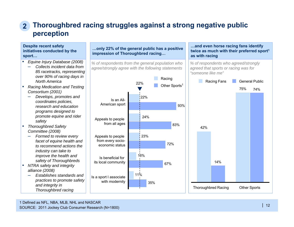### **Thoroughbred racing struggles against a strong negative public perception 2**

### **Despite recent safety initiatives conducted by the sport…**

- ▪ *Equine Injury Database (2008)* 
	- *Collects incident data from 85 racetracks, representing over 90% of racing days in North America*
- ▪ *Racing Medication and Testing Consortium (2001)* 
	- *Develops, promotes and coordinates policies, research and education programs designed to promote equine and rider safety*
- *Thoroughbred Safety Committee (2008)* 
	- *Formed to review every facet of equine health and to recommend actions the industry can take to improve the health and safety of Thoroughbreds*
- ▪ *NTRA safety and integrity alliance (2008)*
	- *Establishes standards and practices to promote safety and integrity in Thoroughbred racing*

#### **…only 22% of the general public has a positive impression of Thoroughbred racing…**

*% of respondents from the general population who agree/strongly agree with the following statements*



#### **…and even horse racing fans identify twice as much with their preferred sport1 as with racing**

*% of respondents who agreed/strongly agreed that sports or racing was for "someone like me"*

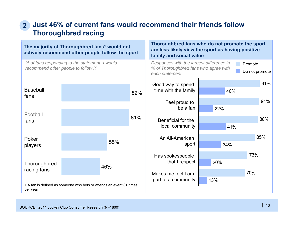### **Just 46% of current fans would recommend their friends follow Thoroughbred racing 2**

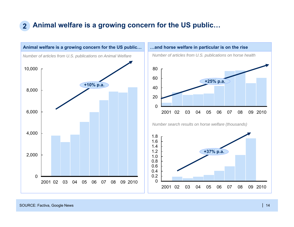# **2 Animal welfare is a growing concern for the US public…**



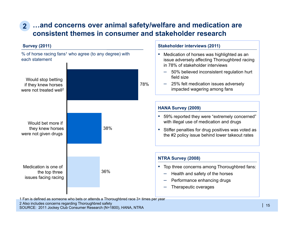# **…and concerns over animal safety/welfare and medication are 2consistent themes in consumer and stakeholder research**

**Stakeholder interviews (2011)**

### **Survey (2011)**



SOURCE: 2011 Jockey Club Consumer Research (N=1800), HANA, NTRA 1 Fan is defined as someone who bets or attends a Thoroughbred race 3+ times per year 2 Also includes concerns regarding Thoroughbred safety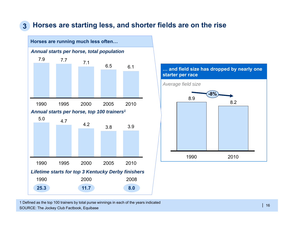#### **Horses are starting less, and shorter fields are on the rise 3**





SOURCE: The Jockey Club Factbook, Equibase 1 Defined as the top 100 trainers by total purse winnings in each of the years indicated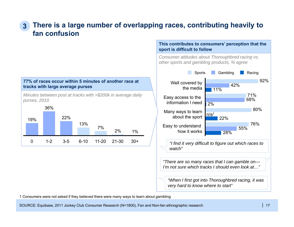### **There is a large number of overlapping races, contributing heavily to fan confusion3**



*Minutes between post at tracks with >\$200k in average daily purses, 2010*



### **This contributes to consumers' perception that the sport is difficult to follow**

*Consumer attitudes about Thoroughbred racing vs. other sports and gambling products, % agree*



1 Consumers were not asked if they believed there were many ways to learn about gambling

SOURCE: Equibase, 2011 Jockey Club Consumer Research (N=1800), Fan and Non-fan ethnographic research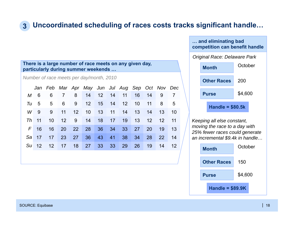# **3 Uncoordinated scheduling of races costs tracks significant handle…**

### **There is a large number of race meets on any given day, particularly during summer weekends …**

*Number of race meets per day/month, 2010*

|              | Jan Feb Mar Apr May Jun Jul Aug Sep Oct Nov Dec |  |                         |  |    |    |           |           |      |
|--------------|-------------------------------------------------|--|-------------------------|--|----|----|-----------|-----------|------|
| M 6          | - 6                                             |  | 7 8 14 12 14 11 16 14 9 |  |    |    |           |           |      |
| $Tu = 5$     |                                                 |  | 5 6 9 12 15 14 12 10    |  |    |    | $-11$     | -8        | -5   |
| W 9          | - 9                                             |  | 11 12 10 13 11 14 13 14 |  |    |    |           | 13        | 10   |
| <i>Th</i> 11 | 10                                              |  | 12 9 14 18 17 19 13     |  |    |    |           | $12 \t12$ | - 11 |
| $F$ 16       | 16                                              |  | 20 22 28 36 34 33 27    |  |    |    | <b>20</b> | 19 13     |      |
| Sa 17        | 17                                              |  | 23 27 36 43 41          |  | 38 | 34 | <b>28</b> | <b>22</b> | 14   |
|              | Su 12 12 17 18 27 33 33                         |  |                         |  | 29 | 26 | 19        | 14        | 12   |
|              |                                                 |  |                         |  |    |    |           |           |      |

## **… and eliminating bad competition can benefit handle** *Original Race: Delaware Park*



*Keeping all else constant, moving the race to a day with 25% fewer races could generate an incremental \$9.4k in handle…*

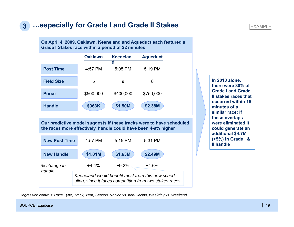#### **3…especially for Grade I and Grade II Stakes**

**Grade I Stakes race within a period of 22 minutes**

**Post Time**

**On April 4, 2009, Oaklawn, Keeneland and Aqueduct each featured a** 

**d**

**Oaklawn Aqueduct**

**Keenelan**

### *Keeneland would benefit most from this new scheduling, since it faces competition from two stakes races* **Our predictive model suggests if these tracks were to have scheduled the races more effectively, handle could have been 4-9% higher** *% change in handle*+4.4%+4.6% 4:57 PM 5:19 PM 5:05 PM **Field Size**e 5 9 8 **Purse** \$500,000 \$750,000 \$400,000 **Handle \$963K \$1.50M \$2.38M New Post Time** 4:57 PM 5:31 PM 5:15 PM **New Handle \$1.01M \$1.63M \$2.49M** +9.2%

**In 2010 alone, there were 30% of Grade I and Grade II stakes races that occurred within 15 minutes of a similar race; if these overlaps were eliminated it could generate an additional \$4.7M (+5%) in Grade I & II handle**

*Regression controls: Race Type, Track, Year, Season, Racino vs. non-Racino, Weekday vs. Weekend*

SOURCE: Equibase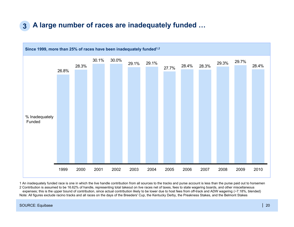#### **3A large number of races are inadequately funded …**



1 An inadequately funded race is one in which the live handle contribution from all sources to the tracks and purse account is less than the purse paid out to horsemen 2 Contribution is assumed to be 16.62% of handle, representing total takeout on live races net of taxes, fees to state wagering boards, and other miscellaneous expenses; this is the upper bound of contribution, since actual contribution likely to be lower due to host fees from off-track and ADW wagering (~7.18%, blended) Note: All figures exclude racino tracks and all races on the days of the Breeders' Cup, the Kentucky Derby, the Preakness Stakes, and the Belmont Stakes

#### SOURCE: Equibase | 20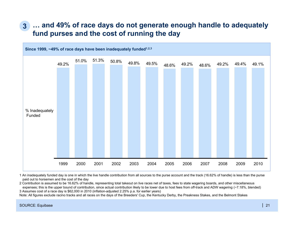### **… and 49% of race days do not generate enough handle to adequately fund purses and the cost of running the day 3**



1 An inadequately funded day is one in which the live handle contribution from all sources to the purse account and the track (16.62% of handle) is less than the purse paid out to horsemen and the cost of the day

2 Contribution is assumed to be 16.62% of handle, representing total takeout on live races net of taxes, fees to state wagering boards, and other miscellaneous expenses; this is the upper bound of contribution, since actual contribution likely to be lower due to host fees from off-track and ADW wagering (~7.18%, blended)

3 Assumes cost of a race day is \$62,000 in 2010 (inflation-adjusted 2.25% p.a. for earlier years) Note: All figures exclude racino tracks and all races on the days of the Breeders' Cup, the Kentucky Derby, the Preakness Stakes, and the Belmont Stakes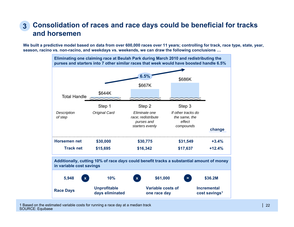### **Consolidation of races and race days could be beneficial for tracks and horsemen3**

**We built a predictive model based on data from over 600,000 races over 11 years; controlling for track, race type, state, year, season, racino vs. non-racino, and weekdays vs. weekends, we can draw the following conclusions …**



1 Based on the estimated variable costs for running a race day at a median track SOURCE: Equibase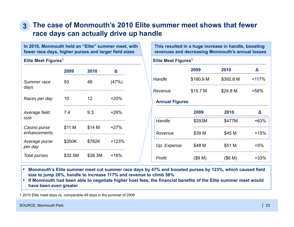### **The case of Monmouth's 2010 Elite summer meet shows that fewer race days can actually drive up handle 3**

**In 2010, Monmouth held an "Elite" summer meet, with fewer race days, higher purses and larger field sizes**

### **Elite Meet Figures1**

|                              | 2009    | 2010    | Δ       |
|------------------------------|---------|---------|---------|
| Summer race<br>days          | 93      | 49      | (47%)   |
| Races per day                | 10      | 12      | $+20%$  |
| Average field<br>size        | 7.4     | 9.3     | $+26%$  |
| Casino purse<br>enhancements | \$11 M  | \$14 M  | $+27%$  |
| Average purse<br>per day     | \$350K  | \$782K  | $+123%$ |
| Total purses                 | \$32.5M | \$38.3M | $+18%$  |

**This resulted in a huge increase in handle, boosting revenues and decreasing Monmouth's annual losses** 

| Elite Meet Figures <sup>1</sup> |            |            |                 |  |  |  |  |
|---------------------------------|------------|------------|-----------------|--|--|--|--|
|                                 | 2009       | 2010       | Δ               |  |  |  |  |
| Handle                          | \$180.9 M  | \$392.8 M  | $+117%$<br>+58% |  |  |  |  |
| Revenue                         | \$15.7 M   | \$24.8 M   |                 |  |  |  |  |
| <b>Annual Figures</b>           |            |            |                 |  |  |  |  |
|                                 | 2009       | 2010       | Δ               |  |  |  |  |
| Handle                          | \$293M     | \$477M     | $+63%$          |  |  |  |  |
| Revenue                         | \$39 M     | \$45 M     | $+15%$          |  |  |  |  |
| Op. Expense                     | \$48 M     | \$51 M     | $+5%$           |  |  |  |  |
| Profit                          | $($ \$9 M) | $($ \$6 M) | +33%            |  |  |  |  |

- **Monmouth's Elite summer meet cut summer race days by 47% and boosted purses by 123%, which caused field size to jump 26%, handle to increase 117% and revenue to climb 58%**
- **If Monmouth had been able to negotiate higher host fees, the financial benefits of the Elite summer meet would have been even greater**

1 2010 Elite meet days vs. comparable 49 days in the summer of 2009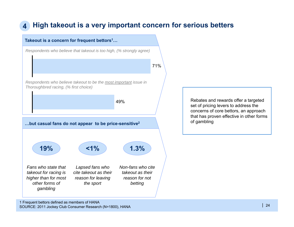#### **4High takeout is a very important concern for serious betters**



SOURCE: 2011 Jockey Club Consumer Research (N=1800), HANA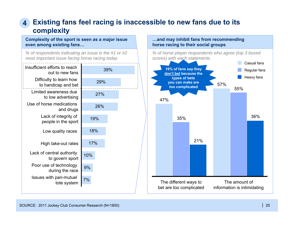# **Existing fans feel racing is inaccessible to new fans due to its 4complexity**

**Complexity of the sport is seen as a major issue even among existing fans…**

*% of respondents indicating an issue is the #1 or #2 most important issue facing horse racing today*



### **…and may inhibit fans from recommending horse racing to their social groups**

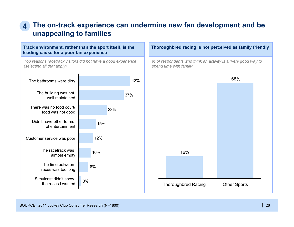### **The on-track experience can undermine new fan development and be unappealing to families 4**

**Track environment, rather than the sport itself, is the leading cause for a poor fan experience**

*Top reasons racetrack visitors did not have a good experience (selecting all that apply)*



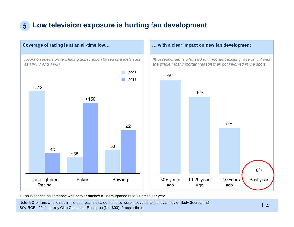# **5 Low television exposure is hurting fan development**



1 Fan is defined as someone who bets or attends a Thoroughbred race 3+ times per year

Note: 9% of fans who joined in the past year indicated that they were motivated to join by a movie (likely Secretariat) SOURCE: 2011 Jockey Club Consumer Research (N=1800), Press articles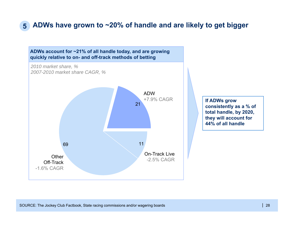# **5 ADWs have grown to ~20% of handle and are likely to get bigger**

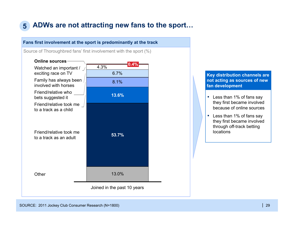# **5 ADWs are not attracting new fans to the sport…**